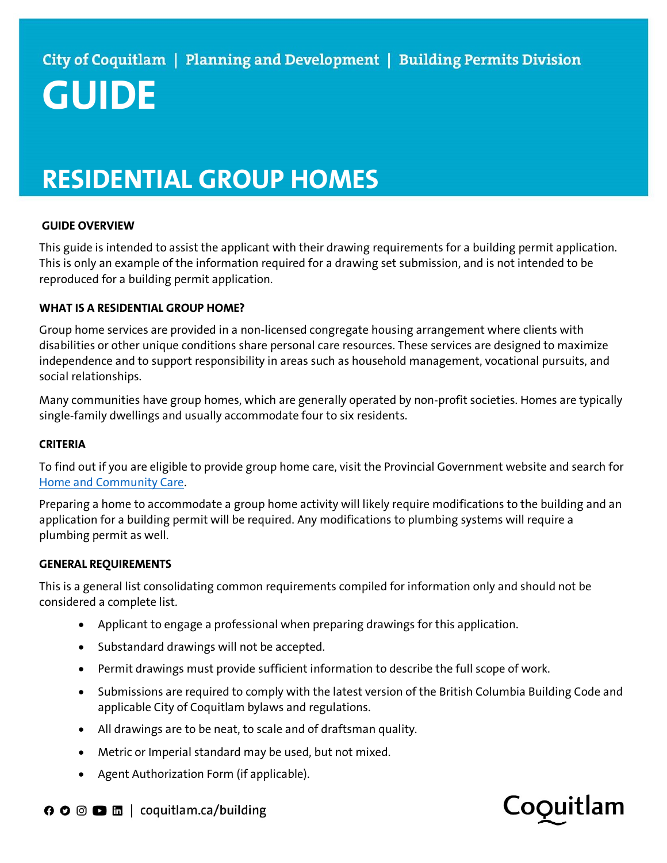# RESIDENTIAL GROUP HOMES

## GUIDE OVERVIEW

This guide is intended to assist the applicant with their drawing requirements for a building permit application. This is only an example of the information required for a drawing set submission, and is not intended to be reproduced for a building permit application.

### WHAT IS A RESIDENTIAL GROUP HOME?

Group home services are provided in a non-licensed congregate housing arrangement where clients with disabilities or other unique conditions share personal care resources. These services are designed to maximize independence and to support responsibility in areas such as household management, vocational pursuits, and social relationships.

Many communities have group homes, which are generally operated by non-profit societies. Homes are typically single-family dwellings and usually accommodate four to six residents.

#### **CRITERIA**

To find out if you are eligible to provide group home care, visit the Provincial Government website and search for Home and Community Care.

Preparing a home to accommodate a group home activity will likely require modifications to the building and an application for a building permit will be required. Any modifications to plumbing systems will require a plumbing permit as well.

#### GENERAL REQUIREMENTS

This is a general list consolidating common requirements compiled for information only and should not be considered a complete list.

- Applicant to engage a professional when preparing drawings for this application.
- Substandard drawings will not be accepted.
- Permit drawings must provide sufficient information to describe the full scope of work.
- Submissions are required to comply with the latest version of the British Columbia Building Code and applicable City of Coquitlam bylaws and regulations.
- All drawings are to be neat, to scale and of draftsman quality.
- Metric or Imperial standard may be used, but not mixed.
- Agent Authorization Form (if applicable).